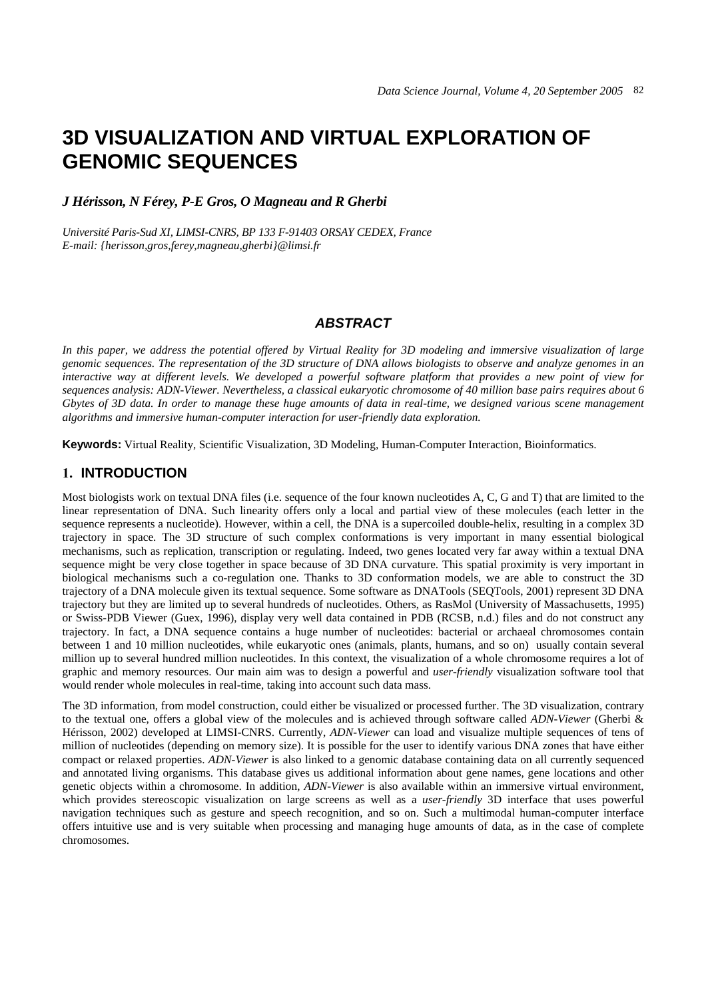# **3D VISUALIZATION AND VIRTUAL EXPLORATION OF GENOMIC SEQUENCES**

## *J Hérisson, N Férey, P-E Gros, O Magneau and R Gherbi*

*Université Paris-Sud XI, LIMSI-CNRS, BP 133 F-91403 ORSAY CEDEX, France E-mail: {herisson,gros,ferey,magneau,gherbi}@limsi.fr* 

#### *ABSTRACT*

*In this paper, we address the potential offered by Virtual Reality for 3D modeling and immersive visualization of large genomic sequences. The representation of the 3D structure of DNA allows biologists to observe and analyze genomes in an interactive way at different levels. We developed a powerful software platform that provides a new point of view for sequences analysis: ADN-Viewer. Nevertheless, a classical eukaryotic chromosome of 40 million base pairs requires about 6 Gbytes of 3D data. In order to manage these huge amounts of data in real-time, we designed various scene management algorithms and immersive human-computer interaction for user-friendly data exploration.* 

**Keywords:** Virtual Reality, Scientific Visualization, 3D Modeling, Human-Computer Interaction, Bioinformatics.

# **1. INTRODUCTION**

Most biologists work on textual DNA files (i.e. sequence of the four known nucleotides A, C, G and T) that are limited to the linear representation of DNA. Such linearity offers only a local and partial view of these molecules (each letter in the sequence represents a nucleotide). However, within a cell, the DNA is a supercoiled double-helix, resulting in a complex 3D trajectory in space. The 3D structure of such complex conformations is very important in many essential biological mechanisms, such as replication, transcription or regulating. Indeed, two genes located very far away within a textual DNA sequence might be very close together in space because of 3D DNA curvature. This spatial proximity is very important in biological mechanisms such a co-regulation one. Thanks to 3D conformation models, we are able to construct the 3D trajectory of a DNA molecule given its textual sequence. Some software as DNATools (SEQTools, 2001) represent 3D DNA trajectory but they are limited up to several hundreds of nucleotides. Others, as RasMol (University of Massachusetts, 1995) or Swiss-PDB Viewer (Guex, 1996), display very well data contained in PDB (RCSB, n.d.) files and do not construct any trajectory. In fact, a DNA sequence contains a huge number of nucleotides: bacterial or archaeal chromosomes contain between 1 and 10 million nucleotides, while eukaryotic ones (animals, plants, humans, and so on) usually contain several million up to several hundred million nucleotides. In this context, the visualization of a whole chromosome requires a lot of graphic and memory resources. Our main aim was to design a powerful and *user-friendly* visualization software tool that would render whole molecules in real-time, taking into account such data mass.

The 3D information, from model construction, could either be visualized or processed further. The 3D visualization, contrary to the textual one, offers a global view of the molecules and is achieved through software called *ADN-Viewer* (Gherbi & Hérisson, 2002) developed at LIMSI-CNRS. Currently, *ADN-Viewer* can load and visualize multiple sequences of tens of million of nucleotides (depending on memory size). It is possible for the user to identify various DNA zones that have either compact or relaxed properties. *ADN-Viewer* is also linked to a genomic database containing data on all currently sequenced and annotated living organisms. This database gives us additional information about gene names, gene locations and other genetic objects within a chromosome. In addition, *ADN-Viewer* is also available within an immersive virtual environment, which provides stereoscopic visualization on large screens as well as a *user-friendly* 3D interface that uses powerful navigation techniques such as gesture and speech recognition, and so on. Such a multimodal human-computer interface offers intuitive use and is very suitable when processing and managing huge amounts of data, as in the case of complete chromosomes.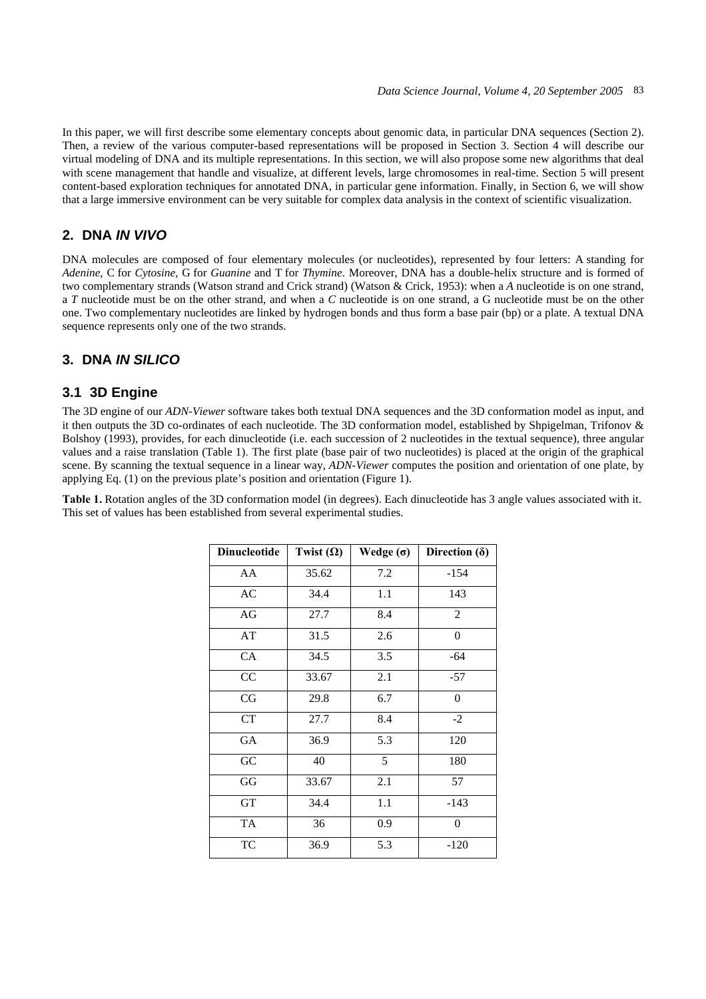In this paper, we will first describe some elementary concepts about genomic data, in particular DNA sequences (Section 2). Then, a review of the various computer-based representations will be proposed in Section 3. Section 4 will describe our virtual modeling of DNA and its multiple representations. In this section, we will also propose some new algorithms that deal with scene management that handle and visualize, at different levels, large chromosomes in real-time. Section 5 will present content-based exploration techniques for annotated DNA, in particular gene information. Finally, in Section 6, we will show that a large immersive environment can be very suitable for complex data analysis in the context of scientific visualization.

# **2. DNA** *IN VIVO*

DNA molecules are composed of four elementary molecules (or nucleotides), represented by four letters: A standing for *Adenine*, C for *Cytosine*, G for *Guanine* and T for *Thymine*. Moreover, DNA has a double-helix structure and is formed of two complementary strands (Watson strand and Crick strand) (Watson & Crick, 1953): when a *A* nucleotide is on one strand, a *T* nucleotide must be on the other strand, and when a *C* nucleotide is on one strand, a G nucleotide must be on the other one. Two complementary nucleotides are linked by hydrogen bonds and thus form a base pair (bp) or a plate. A textual DNA sequence represents only one of the two strands.

# **3. DNA** *IN SILICO*

## **3.1 3D Engine**

The 3D engine of our *ADN-Viewer* software takes both textual DNA sequences and the 3D conformation model as input, and it then outputs the 3D co-ordinates of each nucleotide. The 3D conformation model, established by Shpigelman, Trifonov & Bolshoy (1993), provides, for each dinucleotide (i.e. each succession of 2 nucleotides in the textual sequence), three angular values and a raise translation (Table 1). The first plate (base pair of two nucleotides) is placed at the origin of the graphical scene. By scanning the textual sequence in a linear way, *ADN-Viewer* computes the position and orientation of one plate, by applying Eq. (1) on the previous plate's position and orientation (Figure 1).

**Table 1.** Rotation angles of the 3D conformation model (in degrees). Each dinucleotide has 3 angle values associated with it. This set of values has been established from several experimental studies.

| <b>Dinucleotide</b> | Twist $(\Omega)$ | Wedge $(\sigma)$ | Direction $(\delta)$ |
|---------------------|------------------|------------------|----------------------|
| AA                  | 35.62            | 7.2              | $-154$               |
| AC                  | 34.4             | 1.1              | 143                  |
| AG                  | 27.7             | 8.4              | $\overline{c}$       |
| AT                  | 31.5             | 2.6              | $\overline{0}$       |
| CA                  | 34.5             | 3.5              | $-64$                |
| CC                  | 33.67            | 2.1              | $-57$                |
| CG                  | 29.8             | 6.7              | $\boldsymbol{0}$     |
| <b>CT</b>           | 27.7             | 8.4              | $-2$                 |
| GA                  | 36.9             | 5.3              | 120                  |
| GC                  | 40               | 5                | 180                  |
| GG                  | 33.67            | 2.1              | 57                   |
| <b>GT</b>           | 34.4             | 1.1              | $-143$               |
| <b>TA</b>           | 36               | 0.9              | $\overline{0}$       |
| TC                  | 36.9             | 5.3              | $-120$               |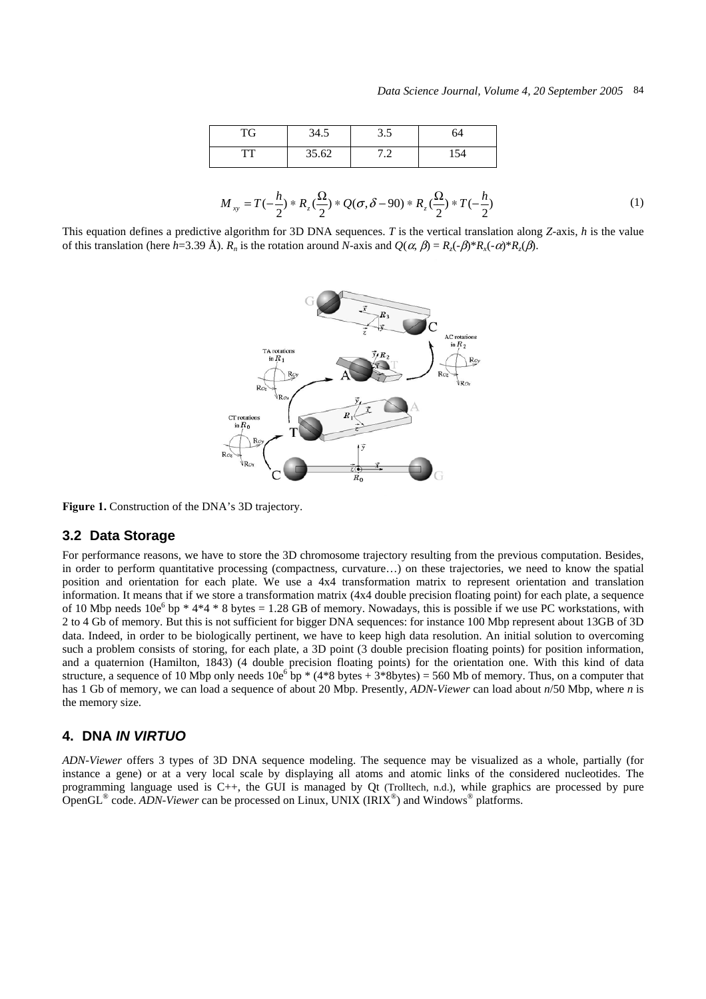| TG        | 34.5  | ر. ر | 64  |
|-----------|-------|------|-----|
| <b>TT</b> | 35.62 | ، ،  | 154 |

$$
M_{xy} = T(-\frac{h}{2}) * R_z(\frac{\Omega}{2}) * Q(\sigma, \delta - 90) * R_z(\frac{\Omega}{2}) * T(-\frac{h}{2})
$$
\n(1)

This equation defines a predictive algorithm for 3D DNA sequences. *T* is the vertical translation along *Z*-axis, *h* is the value of this translation (here *h*=3.39 Å). *Rn* is the rotation around *N*-axis and *Q*(α, β) = *Rz*(-β)\**Rx*(-α)\**Rz*(β).



Figure 1. Construction of the DNA's 3D trajectory.

#### **3.2 Data Storage**

For performance reasons, we have to store the 3D chromosome trajectory resulting from the previous computation. Besides, in order to perform quantitative processing (compactness, curvature…) on these trajectories, we need to know the spatial position and orientation for each plate. We use a 4x4 transformation matrix to represent orientation and translation information. It means that if we store a transformation matrix (4x4 double precision floating point) for each plate, a sequence of 10 Mbp needs  $10e^6$  bp  $*$  4 $*$ 4  $*$  8 bytes = 1.28 GB of memory. Nowadays, this is possible if we use PC workstations, with 2 to 4 Gb of memory. But this is not sufficient for bigger DNA sequences: for instance 100 Mbp represent about 13GB of 3D data. Indeed, in order to be biologically pertinent, we have to keep high data resolution. An initial solution to overcoming such a problem consists of storing, for each plate, a 3D point (3 double precision floating points) for position information, and a quaternion (Hamilton, 1843) (4 double precision floating points) for the orientation one. With this kind of data structure, a sequence of 10 Mbp only needs  $10e^6$  bp  $*(4*8 \text{ bytes} + 3*8 \text{ bytes}) = 560 \text{ Mb}$  of memory. Thus, on a computer that has 1 Gb of memory, we can load a sequence of about 20 Mbp. Presently, *ADN-Viewer* can load about *n*/50 Mbp, where *n* is the memory size.

#### **4. DNA** *IN VIRTUO*

*ADN-Viewer* offers 3 types of 3D DNA sequence modeling. The sequence may be visualized as a whole, partially (for instance a gene) or at a very local scale by displaying all atoms and atomic links of the considered nucleotides. The programming language used is C++, the GUI is managed by Qt (Trolltech, n.d.), while graphics are processed by pure OpenGL® code. *ADN-Viewer* can be processed on Linux, UNIX (IRIX®) and Windows® platforms.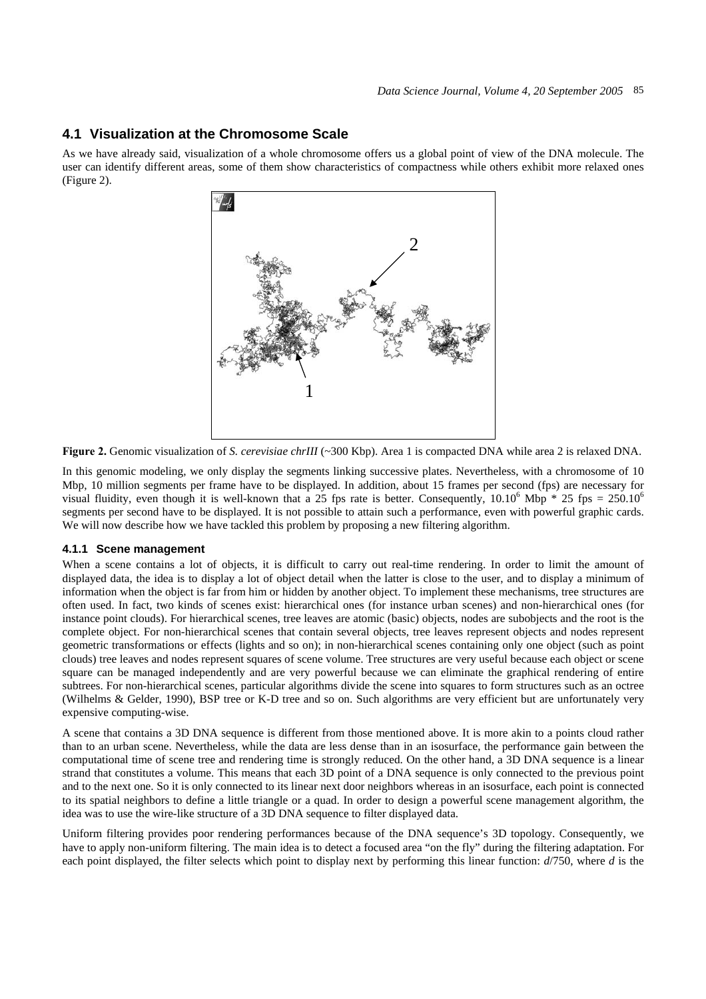# **4.1 Visualization at the Chromosome Scale**

As we have already said, visualization of a whole chromosome offers us a global point of view of the DNA molecule. The user can identify different areas, some of them show characteristics of compactness while others exhibit more relaxed ones (Figure 2).



**Figure 2.** Genomic visualization of *S. cerevisiae chrIII* (~300 Kbp). Area 1 is compacted DNA while area 2 is relaxed DNA.

In this genomic modeling, we only display the segments linking successive plates. Nevertheless, with a chromosome of 10 Mbp, 10 million segments per frame have to be displayed. In addition, about 15 frames per second (fps) are necessary for visual fluidity, even though it is well-known that a 25 fps rate is better. Consequently,  $10.10^6$  Mbp  $*$  25 fps = 250.10<sup>6</sup> segments per second have to be displayed. It is not possible to attain such a performance, even with powerful graphic cards. We will now describe how we have tackled this problem by proposing a new filtering algorithm.

#### **4.1.1 Scene management**

When a scene contains a lot of objects, it is difficult to carry out real-time rendering. In order to limit the amount of displayed data, the idea is to display a lot of object detail when the latter is close to the user, and to display a minimum of information when the object is far from him or hidden by another object. To implement these mechanisms, tree structures are often used. In fact, two kinds of scenes exist: hierarchical ones (for instance urban scenes) and non-hierarchical ones (for instance point clouds). For hierarchical scenes, tree leaves are atomic (basic) objects, nodes are subobjects and the root is the complete object. For non-hierarchical scenes that contain several objects, tree leaves represent objects and nodes represent geometric transformations or effects (lights and so on); in non-hierarchical scenes containing only one object (such as point clouds) tree leaves and nodes represent squares of scene volume. Tree structures are very useful because each object or scene square can be managed independently and are very powerful because we can eliminate the graphical rendering of entire subtrees. For non-hierarchical scenes, particular algorithms divide the scene into squares to form structures such as an octree (Wilhelms & Gelder, 1990), BSP tree or K-D tree and so on. Such algorithms are very efficient but are unfortunately very expensive computing-wise.

A scene that contains a 3D DNA sequence is different from those mentioned above. It is more akin to a points cloud rather than to an urban scene. Nevertheless, while the data are less dense than in an isosurface, the performance gain between the computational time of scene tree and rendering time is strongly reduced. On the other hand, a 3D DNA sequence is a linear strand that constitutes a volume. This means that each 3D point of a DNA sequence is only connected to the previous point and to the next one. So it is only connected to its linear next door neighbors whereas in an isosurface, each point is connected to its spatial neighbors to define a little triangle or a quad. In order to design a powerful scene management algorithm, the idea was to use the wire-like structure of a 3D DNA sequence to filter displayed data.

Uniform filtering provides poor rendering performances because of the DNA sequence's 3D topology. Consequently, we have to apply non-uniform filtering. The main idea is to detect a focused area "on the fly" during the filtering adaptation. For each point displayed, the filter selects which point to display next by performing this linear function: *d*/750, where *d* is the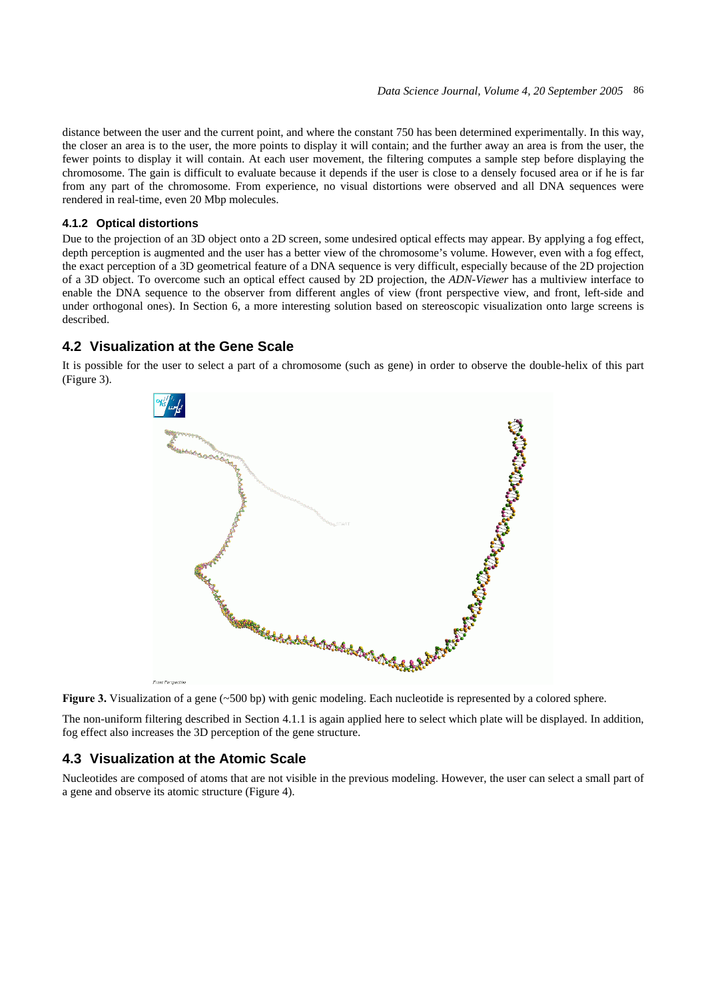distance between the user and the current point, and where the constant 750 has been determined experimentally. In this way, the closer an area is to the user, the more points to display it will contain; and the further away an area is from the user, the fewer points to display it will contain. At each user movement, the filtering computes a sample step before displaying the chromosome. The gain is difficult to evaluate because it depends if the user is close to a densely focused area or if he is far from any part of the chromosome. From experience, no visual distortions were observed and all DNA sequences were rendered in real-time, even 20 Mbp molecules.

#### **4.1.2 Optical distortions**

Due to the projection of an 3D object onto a 2D screen, some undesired optical effects may appear. By applying a fog effect, depth perception is augmented and the user has a better view of the chromosome's volume. However, even with a fog effect, the exact perception of a 3D geometrical feature of a DNA sequence is very difficult, especially because of the 2D projection of a 3D object. To overcome such an optical effect caused by 2D projection, the *ADN-Viewer* has a multiview interface to enable the DNA sequence to the observer from different angles of view (front perspective view, and front, left-side and under orthogonal ones). In Section 6, a more interesting solution based on stereoscopic visualization onto large screens is described.

#### **4.2 Visualization at the Gene Scale**

It is possible for the user to select a part of a chromosome (such as gene) in order to observe the double-helix of this part (Figure 3).





The non-uniform filtering described in Section 4.1.1 is again applied here to select which plate will be displayed. In addition, fog effect also increases the 3D perception of the gene structure.

### **4.3 Visualization at the Atomic Scale**

Nucleotides are composed of atoms that are not visible in the previous modeling. However, the user can select a small part of a gene and observe its atomic structure (Figure 4).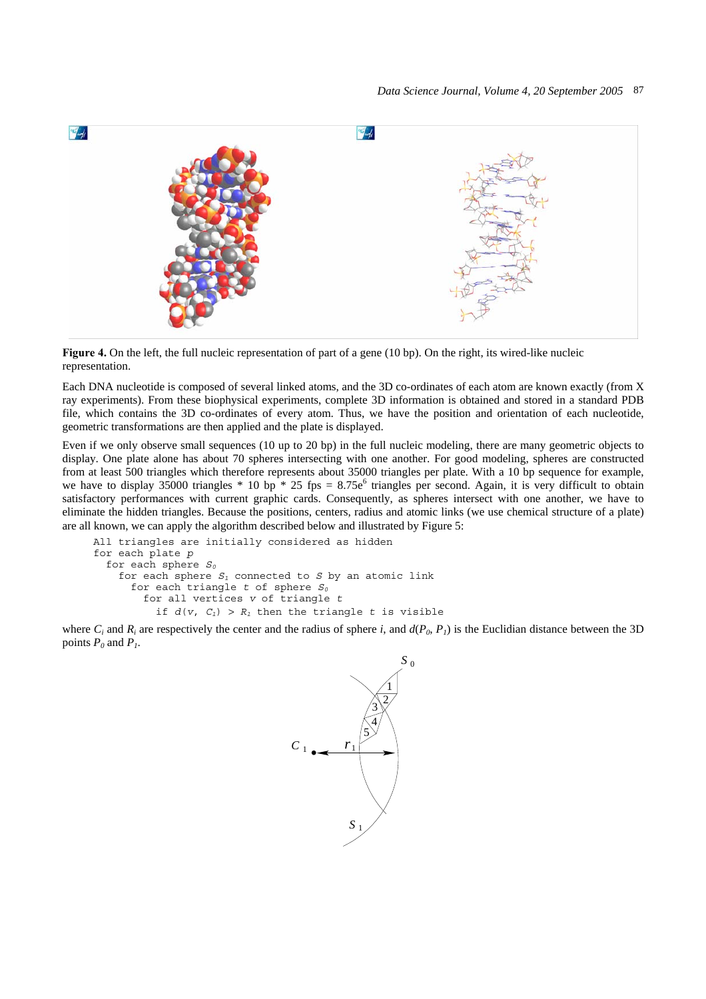

**Figure 4.** On the left, the full nucleic representation of part of a gene (10 bp). On the right, its wired-like nucleic representation.

Each DNA nucleotide is composed of several linked atoms, and the 3D co-ordinates of each atom are known exactly (from X ray experiments). From these biophysical experiments, complete 3D information is obtained and stored in a standard PDB file, which contains the 3D co-ordinates of every atom. Thus, we have the position and orientation of each nucleotide, geometric transformations are then applied and the plate is displayed.

Even if we only observe small sequences (10 up to 20 bp) in the full nucleic modeling, there are many geometric objects to display. One plate alone has about 70 spheres intersecting with one another. For good modeling, spheres are constructed from at least 500 triangles which therefore represents about 35000 triangles per plate. With a 10 bp sequence for example, we have to display 35000 triangles  $*$  10 bp  $*$  25 fps = 8.75e<sup>6</sup> triangles per second. Again, it is very difficult to obtain satisfactory performances with current graphic cards. Consequently, as spheres intersect with one another, we have to eliminate the hidden triangles. Because the positions, centers, radius and atomic links (we use chemical structure of a plate) are all known, we can apply the algorithm described below and illustrated by Figure 5:

```
 All triangles are initially considered as hidden 
for each plate p
  for each sphere S0
    for each sphere S1 connected to S by an atomic link 
     for each triangle t of sphere S_0 for all vertices v of triangle t
         if d(v, C_1) > R_1 then the triangle t is visible
```
where  $C_i$  and  $R_i$  are respectively the center and the radius of sphere *i*, and  $d(P_0, P_1)$  is the Euclidian distance between the 3D points  $P_0$  and  $P_1$ .

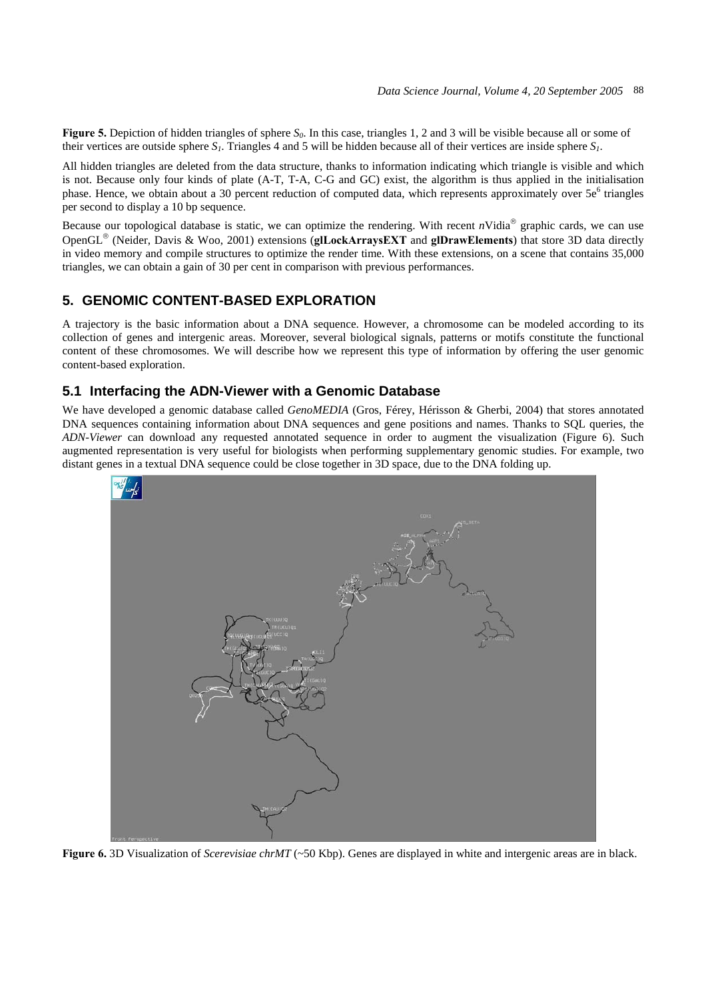**Figure 5.** Depiction of hidden triangles of sphere  $S_0$ . In this case, triangles 1, 2 and 3 will be visible because all or some of their vertices are outside sphere  $S_l$ . Triangles 4 and 5 will be hidden because all of their vertices are inside sphere  $S_l$ .

All hidden triangles are deleted from the data structure, thanks to information indicating which triangle is visible and which is not. Because only four kinds of plate (A-T, T-A, C-G and GC) exist, the algorithm is thus applied in the initialisation phase. Hence, we obtain about a 30 percent reduction of computed data, which represents approximately over 5e<sup>6</sup> triangles per second to display a 10 bp sequence.

Because our topological database is static, we can optimize the rendering. With recent  $n$ Vidia<sup>®</sup> graphic cards, we can use OpenGL® (Neider, Davis & Woo, 2001) extensions (**glLockArraysEXT** and **glDrawElements**) that store 3D data directly in video memory and compile structures to optimize the render time. With these extensions, on a scene that contains 35,000 triangles, we can obtain a gain of 30 per cent in comparison with previous performances.

# **5. GENOMIC CONTENT-BASED EXPLORATION**

A trajectory is the basic information about a DNA sequence. However, a chromosome can be modeled according to its collection of genes and intergenic areas. Moreover, several biological signals, patterns or motifs constitute the functional content of these chromosomes. We will describe how we represent this type of information by offering the user genomic content-based exploration.

# **5.1 Interfacing the ADN-Viewer with a Genomic Database**

We have developed a genomic database called *GenoMEDIA* (Gros, Férey, Hérisson & Gherbi, 2004) that stores annotated DNA sequences containing information about DNA sequences and gene positions and names. Thanks to SQL queries, the *ADN-Viewer* can download any requested annotated sequence in order to augment the visualization (Figure 6). Such augmented representation is very useful for biologists when performing supplementary genomic studies. For example, two distant genes in a textual DNA sequence could be close together in 3D space, due to the DNA folding up.



**Figure 6.** 3D Visualization of *Scerevisiae chrMT* (~50 Kbp). Genes are displayed in white and intergenic areas are in black.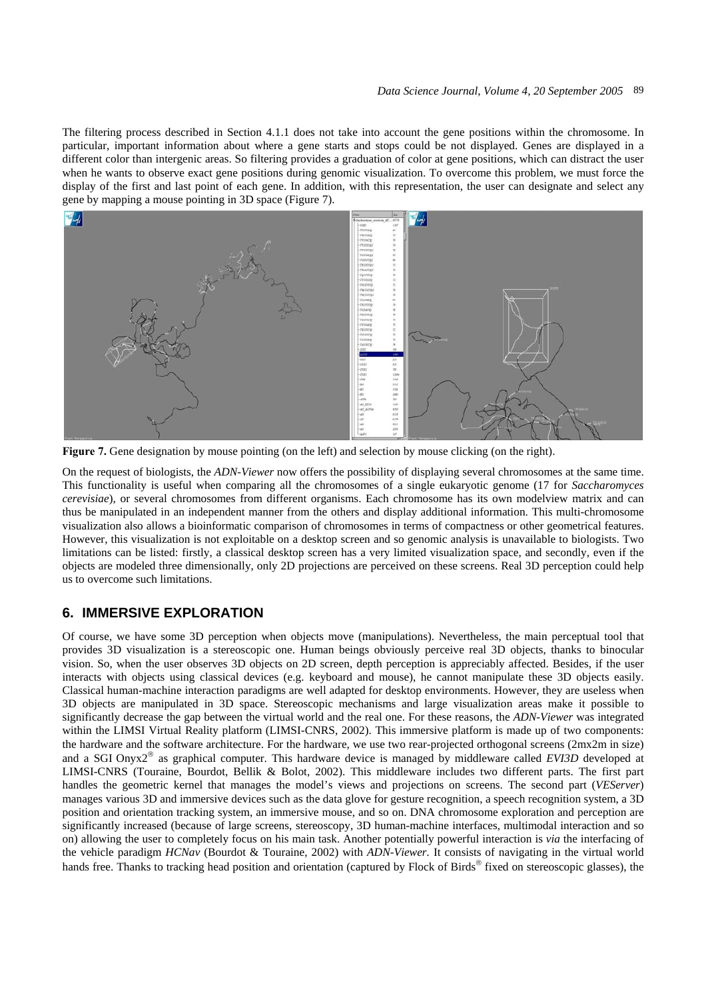The filtering process described in Section 4.1.1 does not take into account the gene positions within the chromosome. In particular, important information about where a gene starts and stops could be not displayed. Genes are displayed in a different color than intergenic areas. So filtering provides a graduation of color at gene positions, which can distract the user when he wants to observe exact gene positions during genomic visualization. To overcome this problem, we must force the display of the first and last point of each gene. In addition, with this representation, the user can designate and select any gene by mapping a mouse pointing in 3D space (Figure 7).



**Figure 7.** Gene designation by mouse pointing (on the left) and selection by mouse clicking (on the right).

On the request of biologists, the *ADN-Viewer* now offers the possibility of displaying several chromosomes at the same time. This functionality is useful when comparing all the chromosomes of a single eukaryotic genome (17 for *Saccharomyces cerevisiae*), or several chromosomes from different organisms. Each chromosome has its own modelview matrix and can thus be manipulated in an independent manner from the others and display additional information. This multi-chromosome visualization also allows a bioinformatic comparison of chromosomes in terms of compactness or other geometrical features. However, this visualization is not exploitable on a desktop screen and so genomic analysis is unavailable to biologists. Two limitations can be listed: firstly, a classical desktop screen has a very limited visualization space, and secondly, even if the objects are modeled three dimensionally, only 2D projections are perceived on these screens. Real 3D perception could help us to overcome such limitations.

## **6. IMMERSIVE EXPLORATION**

Of course, we have some 3D perception when objects move (manipulations). Nevertheless, the main perceptual tool that provides 3D visualization is a stereoscopic one. Human beings obviously perceive real 3D objects, thanks to binocular vision. So, when the user observes 3D objects on 2D screen, depth perception is appreciably affected. Besides, if the user interacts with objects using classical devices (e.g. keyboard and mouse), he cannot manipulate these 3D objects easily. Classical human-machine interaction paradigms are well adapted for desktop environments. However, they are useless when 3D objects are manipulated in 3D space. Stereoscopic mechanisms and large visualization areas make it possible to significantly decrease the gap between the virtual world and the real one. For these reasons, the *ADN-Viewer* was integrated within the LIMSI Virtual Reality platform (LIMSI-CNRS, 2002). This immersive platform is made up of two components: the hardware and the software architecture. For the hardware, we use two rear-projected orthogonal screens (2mx2m in size) and a SGI Onyx2® as graphical computer. This hardware device is managed by middleware called *EVI3D* developed at LIMSI-CNRS (Touraine, Bourdot, Bellik & Bolot, 2002). This middleware includes two different parts. The first part handles the geometric kernel that manages the model's views and projections on screens. The second part (*VEServer*) manages various 3D and immersive devices such as the data glove for gesture recognition, a speech recognition system, a 3D position and orientation tracking system, an immersive mouse, and so on. DNA chromosome exploration and perception are significantly increased (because of large screens, stereoscopy, 3D human-machine interfaces, multimodal interaction and so on) allowing the user to completely focus on his main task. Another potentially powerful interaction is *via* the interfacing of the vehicle paradigm *HCNav* (Bourdot & Touraine, 2002) with *ADN-Viewer.* It consists of navigating in the virtual world hands free. Thanks to tracking head position and orientation (captured by Flock of Birds® fixed on stereoscopic glasses), the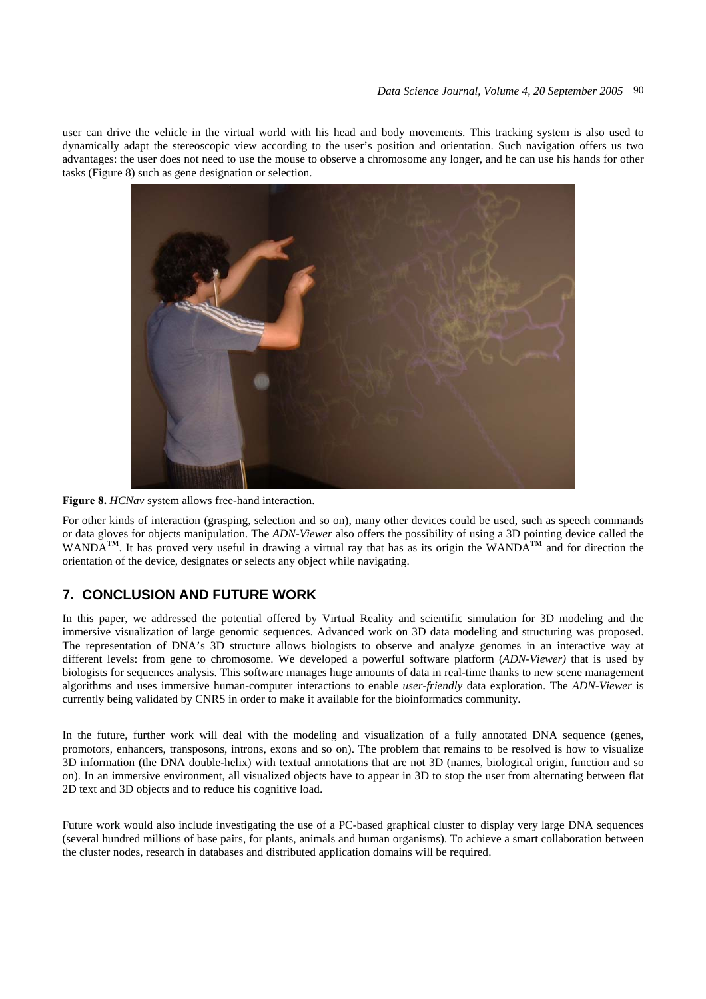user can drive the vehicle in the virtual world with his head and body movements. This tracking system is also used to dynamically adapt the stereoscopic view according to the user's position and orientation. Such navigation offers us two advantages: the user does not need to use the mouse to observe a chromosome any longer, and he can use his hands for other tasks (Figure 8) such as gene designation or selection.



**Figure 8.** *HCNav* system allows free-hand interaction.

For other kinds of interaction (grasping, selection and so on), many other devices could be used, such as speech commands or data gloves for objects manipulation. The *ADN-Viewer* also offers the possibility of using a 3D pointing device called the WANDA**TM**. It has proved very useful in drawing a virtual ray that has as its origin the WANDA**TM** and for direction the orientation of the device, designates or selects any object while navigating.

# **7. CONCLUSION AND FUTURE WORK**

In this paper, we addressed the potential offered by Virtual Reality and scientific simulation for 3D modeling and the immersive visualization of large genomic sequences. Advanced work on 3D data modeling and structuring was proposed. The representation of DNA's 3D structure allows biologists to observe and analyze genomes in an interactive way at different levels: from gene to chromosome. We developed a powerful software platform (*ADN-Viewer)* that is used by biologists for sequences analysis. This software manages huge amounts of data in real-time thanks to new scene management algorithms and uses immersive human-computer interactions to enable *user-friendly* data exploration. The *ADN-Viewer* is currently being validated by CNRS in order to make it available for the bioinformatics community.

In the future, further work will deal with the modeling and visualization of a fully annotated DNA sequence (genes, promotors, enhancers, transposons, introns, exons and so on). The problem that remains to be resolved is how to visualize 3D information (the DNA double-helix) with textual annotations that are not 3D (names, biological origin, function and so on). In an immersive environment, all visualized objects have to appear in 3D to stop the user from alternating between flat 2D text and 3D objects and to reduce his cognitive load.

Future work would also include investigating the use of a PC-based graphical cluster to display very large DNA sequences (several hundred millions of base pairs, for plants, animals and human organisms). To achieve a smart collaboration between the cluster nodes, research in databases and distributed application domains will be required.